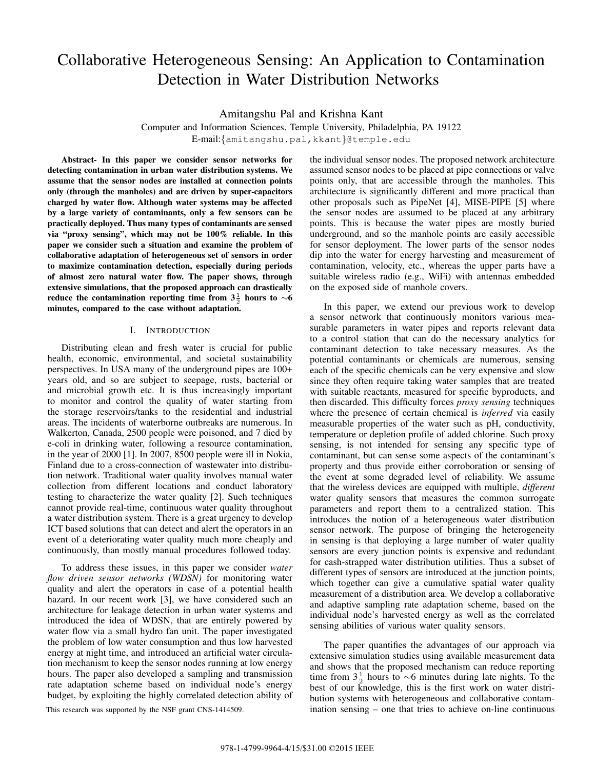# Collaborative Heterogeneous Sensing: An Application to Contamination Detection in Water Distribution Networks

Amitangshu Pal and Krishna Kant

Computer and Information Sciences, Temple University, Philadelphia, PA 19122 E-mail:{amitangshu.pal,kkant}@temple.edu

Abstract- In this paper we consider sensor networks for detecting contamination in urban water distribution systems. We assume that the sensor nodes are installed at connection points only (through the manholes) and are driven by super-capacitors charged by water flow. Although water systems may be affected by a large variety of contaminants, only a few sensors can be practically deployed. Thus many types of contaminants are sensed via "proxy sensing", which may not be 100% reliable. In this paper we consider such a situation and examine the problem of collaborative adaptation of heterogeneous set of sensors in order to maximize contamination detection, especially during periods of almost zero natural water flow. The paper shows, through extensive simulations, that the proposed approach can drastically reduce the contamination reporting time from  $3\frac{1}{2}$  hours to  $\sim$ 6 minutes, compared to the case without adaptation.

#### I. INTRODUCTION

Distributing clean and fresh water is crucial for public health, economic, environmental, and societal sustainability perspectives. In USA many of the underground pipes are 100+ years old, and so are subject to seepage, rusts, bacterial or and microbial growth etc. It is thus increasingly important to monitor and control the quality of water starting from the storage reservoirs/tanks to the residential and industrial areas. The incidents of waterborne outbreaks are numerous. In Walkerton, Canada, 2500 people were poisoned, and 7 died by e-coli in drinking water, following a resource contamination, in the year of 2000 [1]. In 2007, 8500 people were ill in Nokia, Finland due to a cross-connection of wastewater into distribution network. Traditional water quality involves manual water collection from different locations and conduct laboratory testing to characterize the water quality [2]. Such techniques cannot provide real-time, continuous water quality throughout a water distribution system. There is a great urgency to develop ICT based solutions that can detect and alert the operators in an event of a deteriorating water quality much more cheaply and continuously, than mostly manual procedures followed today.

To address these issues, in this paper we consider *water flow driven sensor networks (WDSN)* for monitoring water quality and alert the operators in case of a potential health hazard. In our recent work [3], we have considered such an architecture for leakage detection in urban water systems and introduced the idea of WDSN, that are entirely powered by water flow via a small hydro fan unit. The paper investigated the problem of low water consumption and thus low harvested energy at night time, and introduced an artificial water circulation mechanism to keep the sensor nodes running at low energy hours. The paper also developed a sampling and transmission rate adaptation scheme based on individual node's energy budget, by exploiting the highly correlated detection ability of the individual sensor nodes. The proposed network architecture assumed sensor nodes to be placed at pipe connections or valve points only, that are accessible through the manholes. This architecture is significantly different and more practical than other proposals such as PipeNet [4], MISE-PIPE [5] where the sensor nodes are assumed to be placed at any arbitrary points. This is because the water pipes are mostly buried underground, and so the manhole points are easily accessible for sensor deployment. The lower parts of the sensor nodes dip into the water for energy harvesting and measurement of contamination, velocity, etc., whereas the upper parts have a suitable wireless radio (e.g., WiFi) with antennas embedded on the exposed side of manhole covers.

In this paper, we extend our previous work to develop a sensor network that continuously monitors various measurable parameters in water pipes and reports relevant data to a control station that can do the necessary analytics for contaminant detection to take necessary measures. As the potential contaminants or chemicals are numerous, sensing each of the specific chemicals can be very expensive and slow since they often require taking water samples that are treated with suitable reactants, measured for specific byproducts, and then discarded. This difficulty forces *proxy sensing* techniques where the presence of certain chemical is *inferred* via easily measurable properties of the water such as pH, conductivity, temperature or depletion profile of added chlorine. Such proxy sensing, is not intended for sensing any specific type of contaminant, but can sense some aspects of the contaminant's property and thus provide either corroboration or sensing of the event at some degraded level of reliability. We assume that the wireless devices are equipped with multiple, *different* water quality sensors that measures the common surrogate parameters and report them to a centralized station. This introduces the notion of a heterogeneous water distribution sensor network. The purpose of bringing the heterogeneity in sensing is that deploying a large number of water quality sensors are every junction points is expensive and redundant for cash-strapped water distribution utilities. Thus a subset of different types of sensors are introduced at the junction points, which together can give a cumulative spatial water quality measurement of a distribution area. We develop a collaborative and adaptive sampling rate adaptation scheme, based on the individual node's harvested energy as well as the correlated sensing abilities of various water quality sensors.

The paper quantifies the advantages of our approach via extensive simulation studies using available measurement data and shows that the proposed mechanism can reduce reporting time from  $3\frac{1}{2}$  hours to ∼6 minutes during late nights. To the best of our knowledge, this is the first work on water distribution systems with heterogeneous and collaborative contam-This research was supported by the NSF grant CNS-1414509. **ination sensing – one that tries to achieve on-line continuous**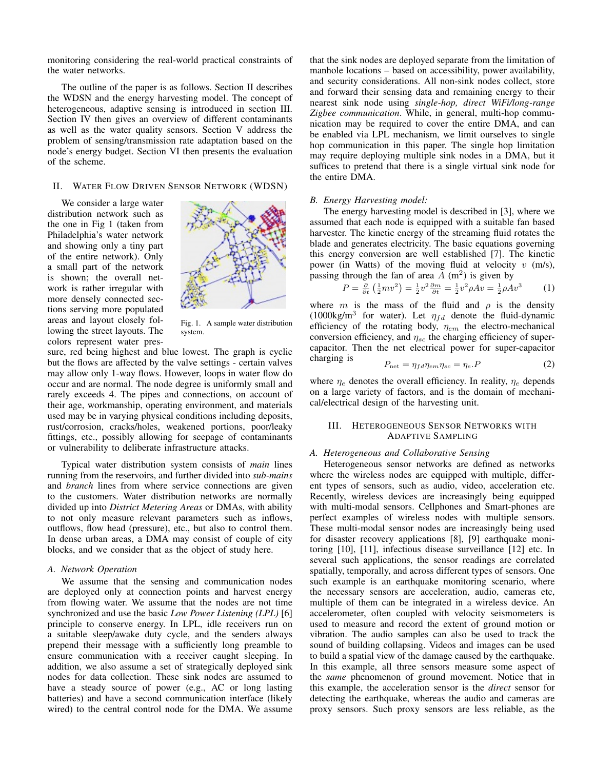monitoring considering the real-world practical constraints of the water networks.

The outline of the paper is as follows. Section II describes the WDSN and the energy harvesting model. The concept of heterogeneous, adaptive sensing is introduced in section III. Section IV then gives an overview of different contaminants as well as the water quality sensors. Section V address the problem of sensing/transmission rate adaptation based on the node's energy budget. Section VI then presents the evaluation of the scheme.

#### II. WATER FLOW DRIVEN SENSOR NETWORK (WDSN)

We consider a large water distribution network such as the one in Fig 1 (taken from Philadelphia's water network and showing only a tiny part of the entire network). Only a small part of the network is shown; the overall network is rather irregular with more densely connected sections serving more populated areas and layout closely following the street layouts. The colors represent water pres-



Fig. 1. A sample water distribution system.

sure, red being highest and blue lowest. The graph is cyclic but the flows are affected by the valve settings - certain valves may allow only 1-way flows. However, loops in water flow do occur and are normal. The node degree is uniformly small and rarely exceeds 4. The pipes and connections, on account of their age, workmanship, operating environment, and materials used may be in varying physical conditions including deposits, rust/corrosion, cracks/holes, weakened portions, poor/leaky fittings, etc., possibly allowing for seepage of contaminants or vulnerability to deliberate infrastructure attacks.

Typical water distribution system consists of *main* lines running from the reservoirs, and further divided into *sub-mains* and *branch* lines from where service connections are given to the customers. Water distribution networks are normally divided up into *District Metering Areas* or DMAs, with ability to not only measure relevant parameters such as inflows, outflows, flow head (pressure), etc., but also to control them. In dense urban areas, a DMA may consist of couple of city blocks, and we consider that as the object of study here.

#### *A. Network Operation*

We assume that the sensing and communication nodes are deployed only at connection points and harvest energy from flowing water. We assume that the nodes are not time synchronized and use the basic *Low Power Listening (LPL)* [6] principle to conserve energy. In LPL, idle receivers run on a suitable sleep/awake duty cycle, and the senders always prepend their message with a sufficiently long preamble to ensure communication with a receiver caught sleeping. In addition, we also assume a set of strategically deployed sink nodes for data collection. These sink nodes are assumed to have a steady source of power (e.g., AC or long lasting batteries) and have a second communication interface (likely wired) to the central control node for the DMA. We assume that the sink nodes are deployed separate from the limitation of manhole locations – based on accessibility, power availability, and security considerations. All non-sink nodes collect, store and forward their sensing data and remaining energy to their nearest sink node using *single-hop, direct WiFi/long-range Zigbee communication*. While, in general, multi-hop communication may be required to cover the entire DMA, and can be enabled via LPL mechanism, we limit ourselves to single hop communication in this paper. The single hop limitation may require deploying multiple sink nodes in a DMA, but it suffices to pretend that there is a single virtual sink node for the entire DMA.

#### *B. Energy Harvesting model:*

The energy harvesting model is described in [3], where we assumed that each node is equipped with a suitable fan based harvester. The kinetic energy of the streaming fluid rotates the blade and generates electricity. The basic equations governing this energy conversion are well established [7]. The kinetic power (in Watts) of the moving fluid at velocity  $v$  (m/s), passing through the fan of area  $\overline{A}$  (m<sup>2</sup>) is given by

$$
P = \frac{\partial}{\partial t} \left( \frac{1}{2} m v^2 \right) = \frac{1}{2} v^2 \frac{\partial m}{\partial t} = \frac{1}{2} v^2 \rho A v = \frac{1}{2} \rho A v^3 \tag{1}
$$

where m is the mass of the fluid and  $\rho$  is the density (1000kg/m<sup>3</sup> for water). Let  $\eta_{fd}$  denote the fluid-dynamic efficiency of the rotating body,  $\eta_{em}$  the electro-mechanical conversion efficiency, and  $\eta_{sc}$  the charging efficiency of supercapacitor. Then the net electrical power for super-capacitor charging is

$$
P_{\text{net}} = \eta_{fd} \eta_{em} \eta_{sc} = \eta_e P \tag{2}
$$

where  $\eta_e$  denotes the overall efficiency. In reality,  $\eta_e$  depends on a large variety of factors, and is the domain of mechanical/electrical design of the harvesting unit.

## III. HETEROGENEOUS SENSOR NETWORKS WITH ADAPTIVE SAMPLING

## *A. Heterogeneous and Collaborative Sensing*

Heterogeneous sensor networks are defined as networks where the wireless nodes are equipped with multiple, different types of sensors, such as audio, video, acceleration etc. Recently, wireless devices are increasingly being equipped with multi-modal sensors. Cellphones and Smart-phones are perfect examples of wireless nodes with multiple sensors. These multi-modal sensor nodes are increasingly being used for disaster recovery applications [8], [9] earthquake monitoring [10], [11], infectious disease surveillance [12] etc. In several such applications, the sensor readings are correlated spatially, temporally, and across different types of sensors. One such example is an earthquake monitoring scenario, where the necessary sensors are acceleration, audio, cameras etc, multiple of them can be integrated in a wireless device. An accelerometer, often coupled with velocity seismometers is used to measure and record the extent of ground motion or vibration. The audio samples can also be used to track the sound of building collapsing. Videos and images can be used to build a spatial view of the damage caused by the earthquake. In this example, all three sensors measure some aspect of the *same* phenomenon of ground movement. Notice that in this example, the acceleration sensor is the *direct* sensor for detecting the earthquake, whereas the audio and cameras are proxy sensors. Such proxy sensors are less reliable, as the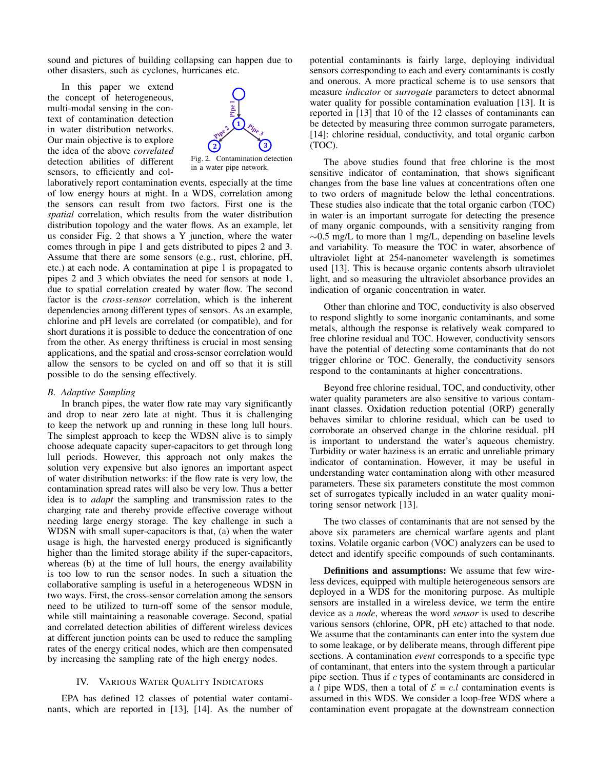sound and pictures of building collapsing can happen due to other disasters, such as cyclones, hurricanes etc.

In this paper we extend the concept of heterogeneous, multi-modal sensing in the context of contamination detection in water distribution networks. Our main objective is to explore the idea of the above *correlated* detection abilities of different sensors, to efficiently and col-



Fig. 2. Contamination detection in a water pipe network.

laboratively report contamination events, especially at the time of low energy hours at night. In a WDS, correlation among the sensors can result from two factors. First one is the *spatial* correlation, which results from the water distribution distribution topology and the water flows. As an example, let us consider Fig. 2 that shows a Y junction, where the water comes through in pipe 1 and gets distributed to pipes 2 and 3. Assume that there are some sensors (e.g., rust, chlorine, pH, etc.) at each node. A contamination at pipe 1 is propagated to pipes 2 and 3 which obviates the need for sensors at node 1, due to spatial correlation created by water flow. The second factor is the *cross-sensor* correlation, which is the inherent dependencies among different types of sensors. As an example, chlorine and pH levels are correlated (or compatible), and for short durations it is possible to deduce the concentration of one from the other. As energy thriftiness is crucial in most sensing applications, and the spatial and cross-sensor correlation would allow the sensors to be cycled on and off so that it is still possible to do the sensing effectively.

### *B. Adaptive Sampling*

In branch pipes, the water flow rate may vary significantly and drop to near zero late at night. Thus it is challenging to keep the network up and running in these long lull hours. The simplest approach to keep the WDSN alive is to simply choose adequate capacity super-capacitors to get through long lull periods. However, this approach not only makes the solution very expensive but also ignores an important aspect of water distribution networks: if the flow rate is very low, the contamination spread rates will also be very low. Thus a better idea is to *adapt* the sampling and transmission rates to the charging rate and thereby provide effective coverage without needing large energy storage. The key challenge in such a WDSN with small super-capacitors is that, (a) when the water usage is high, the harvested energy produced is significantly higher than the limited storage ability if the super-capacitors, whereas (b) at the time of lull hours, the energy availability is too low to run the sensor nodes. In such a situation the collaborative sampling is useful in a heterogeneous WDSN in two ways. First, the cross-sensor correlation among the sensors need to be utilized to turn-off some of the sensor module, while still maintaining a reasonable coverage. Second, spatial and correlated detection abilities of different wireless devices at different junction points can be used to reduce the sampling rates of the energy critical nodes, which are then compensated by increasing the sampling rate of the high energy nodes.

#### IV. VARIOUS WATER QUALITY INDICATORS

EPA has defined 12 classes of potential water contaminants, which are reported in [13], [14]. As the number of

measure *indiction* of *surrogaic* parameters to detect donorman<br>water quality for possible contamination evaluation [13]. It is measure *indicator* or *surrogate* parameters to detect abnormal be detected by measuring three common surrogate parameters, potential contaminants is fairly large, deploying individual sensors corresponding to each and every contaminants is costly and onerous. A more practical scheme is to use sensors that reported in [13] that 10 of the 12 classes of contaminants can [14]: chlorine residual, conductivity, and total organic carbon (TOC).

The above studies found that free chlorine is the most sensitive indicator of contamination, that shows significant changes from the base line values at concentrations often one to two orders of magnitude below the lethal concentrations. These studies also indicate that the total organic carbon (TOC) in water is an important surrogate for detecting the presence of many organic compounds, with a sensitivity ranging from ∼0.5 mg/L to more than 1 mg/L, depending on baseline levels and variability. To measure the TOC in water, absorbence of ultraviolet light at 254-nanometer wavelength is sometimes used [13]. This is because organic contents absorb ultraviolet light, and so measuring the ultraviolet absorbance provides an indication of organic concentration in water.

Other than chlorine and TOC, conductivity is also observed to respond slightly to some inorganic contaminants, and some metals, although the response is relatively weak compared to free chlorine residual and TOC. However, conductivity sensors have the potential of detecting some contaminants that do not trigger chlorine or TOC. Generally, the conductivity sensors respond to the contaminants at higher concentrations.

Beyond free chlorine residual, TOC, and conductivity, other water quality parameters are also sensitive to various contaminant classes. Oxidation reduction potential (ORP) generally behaves similar to chlorine residual, which can be used to corroborate an observed change in the chlorine residual. pH is important to understand the water's aqueous chemistry. Turbidity or water haziness is an erratic and unreliable primary indicator of contamination. However, it may be useful in understanding water contamination along with other measured parameters. These six parameters constitute the most common set of surrogates typically included in an water quality monitoring sensor network [13].

The two classes of contaminants that are not sensed by the above six parameters are chemical warfare agents and plant toxins. Volatile organic carbon (VOC) analyzers can be used to detect and identify specific compounds of such contaminants.

Definitions and assumptions: We assume that few wireless devices, equipped with multiple heterogeneous sensors are deployed in a WDS for the monitoring purpose. As multiple sensors are installed in a wireless device, we term the entire device as a *node*, whereas the word *sensor* is used to describe various sensors (chlorine, OPR, pH etc) attached to that node. We assume that the contaminants can enter into the system due to some leakage, or by deliberate means, through different pipe sections. A contamination *event* corresponds to a specific type of contaminant, that enters into the system through a particular pipe section. Thus if c types of contaminants are considered in a *l* pipe WDS, then a total of  $\mathcal{E} = c.l$  contamination events is assumed in this WDS. We consider a loop-free WDS where a contamination event propagate at the downstream connection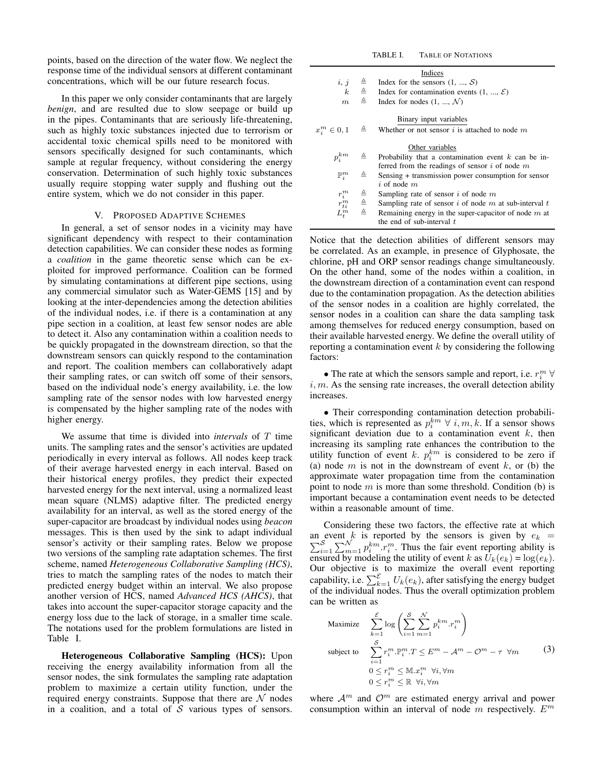points, based on the direction of the water flow. We neglect the response time of the individual sensors at different contaminant concentrations, which will be our future research focus.

In this paper we only consider contaminants that are largely *benign*, and are resulted due to slow seepage or build up in the pipes. Contaminants that are seriously life-threatening, such as highly toxic substances injected due to terrorism or accidental toxic chemical spills need to be monitored with sensors specifically designed for such contaminants, which sample at regular frequency, without considering the energy conservation. Determination of such highly toxic substances usually require stopping water supply and flushing out the entire system, which we do not consider in this paper.

## V. PROPOSED ADAPTIVE SCHEMES

In general, a set of sensor nodes in a vicinity may have significant dependency with respect to their contamination detection capabilities. We can consider these nodes as forming a *coalition* in the game theoretic sense which can be exploited for improved performance. Coalition can be formed by simulating contaminations at different pipe sections, using any commercial simulator such as Water-GEMS [15] and by looking at the inter-dependencies among the detection abilities of the individual nodes, i.e. if there is a contamination at any pipe section in a coalition, at least few sensor nodes are able to detect it. Also any contamination within a coalition needs to be quickly propagated in the downstream direction, so that the downstream sensors can quickly respond to the contamination and report. The coalition members can collaboratively adapt their sampling rates, or can switch off some of their sensors, based on the individual node's energy availability, i.e. the low sampling rate of the sensor nodes with low harvested energy is compensated by the higher sampling rate of the nodes with higher energy.

We assume that time is divided into *intervals* of T time units. The sampling rates and the sensor's activities are updated periodically in every interval as follows. All nodes keep track of their average harvested energy in each interval. Based on their historical energy profiles, they predict their expected harvested energy for the next interval, using a normalized least mean square (NLMS) adaptive filter. The predicted energy availability for an interval, as well as the stored energy of the super-capacitor are broadcast by individual nodes using *beacon* messages. This is then used by the sink to adapt individual sensor's activity or their sampling rates. Below we propose two versions of the sampling rate adaptation schemes. The first scheme, named *Heterogeneous Collaborative Sampling (HCS)*, tries to match the sampling rates of the nodes to match their predicted energy budget within an interval. We also propose another version of HCS, named *Advanced HCS (AHCS)*, that takes into account the super-capacitor storage capacity and the energy loss due to the lack of storage, in a smaller time scale. The notations used for the problem formulations are listed in Table I.

Heterogeneous Collaborative Sampling (HCS): Upon receiving the energy availability information from all the sensor nodes, the sink formulates the sampling rate adaptation problem to maximize a certain utility function, under the required energy constraints. Suppose that there are  $\mathcal N$  nodes in a coalition, and a total of  $S$  various types of sensors.

#### TABLE I. TABLE OF NOTATIONS

|                  |                                                                                                    | Indices                                                                                                     |  |  |  |  |
|------------------|----------------------------------------------------------------------------------------------------|-------------------------------------------------------------------------------------------------------------|--|--|--|--|
| i, j             | $\triangleq$                                                                                       | Index for the sensors $(1, , S)$                                                                            |  |  |  |  |
| $\mathbf{k}$     | $\triangle$                                                                                        | Index for contamination events $(1, , \mathcal{E})$                                                         |  |  |  |  |
| m                | $\triangleq$                                                                                       | Index for nodes $(1, , \mathcal{N})$                                                                        |  |  |  |  |
|                  |                                                                                                    | Binary input variables                                                                                      |  |  |  |  |
| $x_i^m \in 0,1$  | ≙                                                                                                  | Whether or not sensor $i$ is attached to node $m$                                                           |  |  |  |  |
|                  |                                                                                                    | Other variables                                                                                             |  |  |  |  |
| $p_i^{km}$       | ≜                                                                                                  | Probability that a contamination event $k$ can be in-<br>ferred from the readings of sensor $i$ of node $m$ |  |  |  |  |
| $\mathbb{P}^m_i$ | ≜                                                                                                  | Sensing + transmission power consumption for sensor<br>i of node $m$                                        |  |  |  |  |
|                  |                                                                                                    | Sampling rate of sensor $i$ of node $m$                                                                     |  |  |  |  |
|                  | $\begin{array}{ccc} r_i^m & \triangleq \\ r_{ti}^m & \triangleq \\ L_i^m & \triangleq \end{array}$ | Sampling rate of sensor i of node $m$ at sub-interval $t$                                                   |  |  |  |  |
| $L^m_i$          |                                                                                                    | Remaining energy in the super-capacitor of node $m$ at<br>the end of sub-interval $t$                       |  |  |  |  |

Notice that the detection abilities of different sensors may be correlated. As an example, in presence of Glyphosate, the chlorine, pH and ORP sensor readings change simultaneously. On the other hand, some of the nodes within a coalition, in the downstream direction of a contamination event can respond due to the contamination propagation. As the detection abilities of the sensor nodes in a coalition are highly correlated, the sensor nodes in a coalition can share the data sampling task among themselves for reduced energy consumption, based on their available harvested energy. We define the overall utility of reporting a contamination event  $k$  by considering the following factors:

• The rate at which the sensors sample and report, i.e.  $r_i^m$   $\forall$  $i, m$ . As the sensing rate increases, the overall detection ability increases.

• Their corresponding contamination detection probabilities, which is represented as  $p_i^{km} \forall i, m, k$ . If a sensor shows significant deviation due to a contamination event  $k$ , then increasing its sampling rate enhances the contribution to the utility function of event k.  $p_i^{km}$  is considered to be zero if (a) node m is not in the downstream of event  $k$ , or (b) the approximate water propagation time from the contamination point to node  $m$  is more than some threshold. Condition (b) is important because a contamination event needs to be detected within a reasonable amount of time.

Considering these two factors, the effective rate at which an event  $k$  is reported by the sensors is given by  $e_k =$  $\sum_{i=1}^{\mathcal{S}}$  $\sum_{i=1}^{S} \sum_{m=1}^{N} p_i^{km} \cdot r_i^m$ . Thus the fair event reporting ability is ensured by modeling the utility of event k as  $U_k(e_k) = \log(e_k)$ . Our objective is to maximize the overall event reporting capability, i.e.  $\sum_{k=1}^{\mathcal{E}} U_k(e_k)$ , after satisfying the energy budget of the individual nodes. Thus the overall optimization problem can be written as

$$
\begin{array}{ll}\n\text{Maximize} & \sum_{k=1}^{\mathcal{E}} \log \left( \sum_{i=1}^{S} \sum_{m=1}^{N} p_i^{km} . r_i^m \right) \\
\text{subject to} & \sum_{i=1}^{S} r_i^m . \mathbb{P}_i^m . T \le E^m - \mathcal{A}^m - \mathcal{O}^m - \tau \ \forall m \\
& 0 \le r_i^m \le \mathbb{M} . x_i^m \ \forall i, \forall m \\
& 0 \le r_i^m \le \mathbb{R} \ \forall i, \forall m\n\end{array} \tag{3}
$$

where  $\mathcal{A}^m$  and  $\mathcal{O}^m$  are estimated energy arrival and power consumption within an interval of node  $m$  respectively.  $E^m$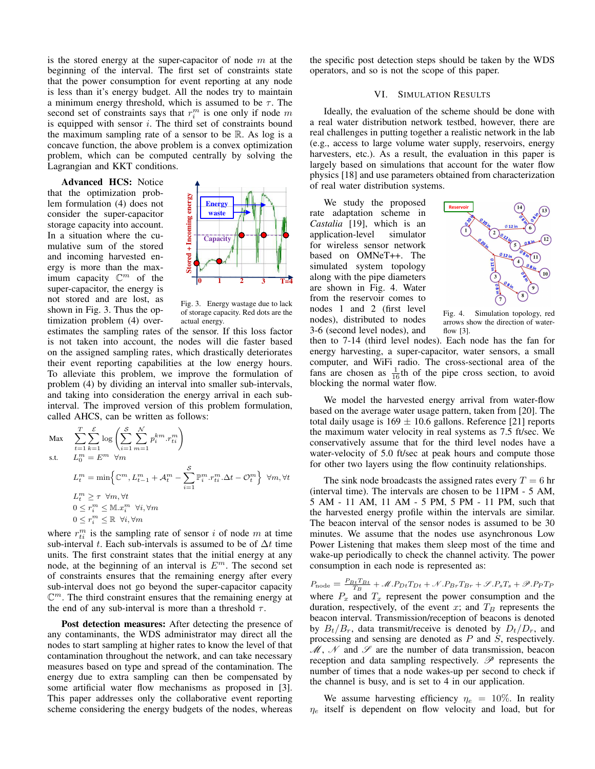is the stored energy at the super-capacitor of node  $m$  at the beginning of the interval. The first set of constraints state that the power consumption for event reporting at any node is less than it's energy budget. All the nodes try to maintain a minimum energy threshold, which is assumed to be  $\tau$ . The second set of constraints says that  $r_i^m$  is one only if node m is equipped with sensor  $i$ . The third set of constraints bound the maximum sampling rate of a sensor to be  $\mathbb{R}$ . As log is a concave function, the above problem is a convex optimization problem, which can be computed centrally by solving the Lagrangian and KKT conditions.

Advanced HCS: Notice that the optimization problem formulation (4) does not consider the super-capacitor storage capacity into account. In a situation where the cumulative sum of the stored and incoming harvested energy is more than the maximum capacity  $\mathbb{C}^m$  of the super-capacitor, the energy is not stored and are lost, as shown in Fig. 3. Thus the optimization problem (4) over-



Fig. 3. Energy wastage due to lack of storage capacity. Red dots are the actual energy.

estimates the sampling rates of the sensor. If this loss factor is not taken into account, the nodes will die faster based on the assigned sampling rates, which drastically deteriorates their event reporting capabilities at the low energy hours. To alleviate this problem, we improve the formulation of problem (4) by dividing an interval into smaller sub-intervals, and taking into consideration the energy arrival in each subinterval. The improved version of this problem formulation, called AHCS, can be written as follows:

$$
\begin{aligned}\n\text{Max} \quad & \sum_{t=1}^{T} \sum_{k=1}^{E} \log \left( \sum_{i=1}^{S} \sum_{m=1}^{N} p_i^{km} . r_{ti}^m \right) \\
\text{s.t.} \quad & L_0^m = E^m \quad \forall m \\
& L_t^m = \min \left\{ \mathbb{C}^m , L_{t-1}^m + \mathcal{A}_t^m - \sum_{i=1}^{S} \mathbb{P}_i^m . r_{ti}^m . \Delta t - \mathcal{O}_t^m \right\} \quad \forall m, \forall t \\
& L_t^m \geq \tau \quad \forall m, \forall t \\
& 0 \leq r_i^m \leq \mathbb{M} . x_i^m \quad \forall i, \forall m \\
& 0 \leq r_i^m \leq \mathbb{R} \quad \forall i, \forall m\n\end{aligned}
$$

where  $r_{ti}^m$  is the sampling rate of sensor i of node m at time sub-interval t. Each sub-intervals is assumed to be of  $\Delta t$  time units. The first constraint states that the initial energy at any node, at the beginning of an interval is  $E<sup>m</sup>$ . The second set of constraints ensures that the remaining energy after every sub-interval does not go beyond the super-capacitor capacity  $\mathbb{C}^m$ . The third constraint ensures that the remaining energy at the end of any sub-interval is more than a threshold  $\tau$ .

Post detection measures: After detecting the presence of any contaminants, the WDS administrator may direct all the nodes to start sampling at higher rates to know the level of that contamination throughout the network, and can take necessary measures based on type and spread of the contamination. The energy due to extra sampling can then be compensated by some artificial water flow mechanisms as proposed in [3]. This paper addresses only the collaborative event reporting scheme considering the energy budgets of the nodes, whereas

the specific post detection steps should be taken by the WDS operators, and so is not the scope of this paper.

#### VI. SIMULATION RESULTS

Ideally, the evaluation of the scheme should be done with a real water distribution network testbed, however, there are real challenges in putting together a realistic network in the lab (e.g., access to large volume water supply, reservoirs, energy harvesters, etc.). As a result, the evaluation in this paper is largely based on simulations that account for the water flow physics [18] and use parameters obtained from characterization of real water distribution systems.

We study the proposed rate adaptation scheme in *Castalia* [19], which is an application-level simulator for wireless sensor network based on OMNeT++. The simulated system topology along with the pipe diameters are shown in Fig. 4. Water from the reservoir comes to nodes 1 and 2 (first level nodes), distributed to nodes 3-6 (second level nodes), and



Fig. 4. Simulation topology, red arrows show the direction of waterflow [3].

then to 7-14 (third level nodes). Each node has the fan for energy harvesting, a super-capacitor, water sensors, a small computer, and WiFi radio. The cross-sectional area of the fans are chosen as  $\frac{1}{16}$ th of the pipe cross section, to avoid blocking the normal water flow.

We model the harvested energy arrival from water-flow based on the average water usage pattern, taken from [20]. The total daily usage is  $169 \pm 10.6$  gallons. Reference [21] reports the maximum water velocity in real systems as 7.5 ft/sec. We conservatively assume that for the third level nodes have a water-velocity of 5.0 ft/sec at peak hours and compute those for other two layers using the flow continuity relationships.

The sink node broadcasts the assigned rates every  $T = 6$  hr (interval time). The intervals are chosen to be 11PM - 5 AM, 5 AM - 11 AM, 11 AM - 5 PM, 5 PM - 11 PM, such that the harvested energy profile within the intervals are similar. The beacon interval of the sensor nodes is assumed to be 30 minutes. We assume that the nodes use asynchronous Low Power Listening that makes them sleep most of the time and wake-up periodically to check the channel activity. The power consumption in each node is represented as:

 $P_{\text{node}} = \frac{P_{Bt}T_{Bt}}{T_B} + \mathcal{M}.P_{Dt}T_{Dt} + \mathcal{N}.P_{Br}T_{Br} + \mathcal{S}.P_sT_s + \mathcal{P}.P_PT_P$ where  $P_x$  and  $T_x$  represent the power consumption and the duration, respectively, of the event  $x$ ; and  $T_B$  represents the beacon interval. Transmission/reception of beacons is denoted by  $B_t/B_r$ , data transmit/receive is denoted by  $D_t/D_r$ , and processing and sensing are denoted as P and S, respectively.  $\mathcal{M}, \mathcal{N}$  and  $\mathcal{S}$  are the number of data transmission, beacon reception and data sampling respectively.  $\mathscr P$  represents the number of times that a node wakes-up per second to check if the channel is busy, and is set to 4 in our application.

We assume harvesting efficiency  $\eta_e = 10\%$ . In reality  $\eta_e$  itself is dependent on flow velocity and load, but for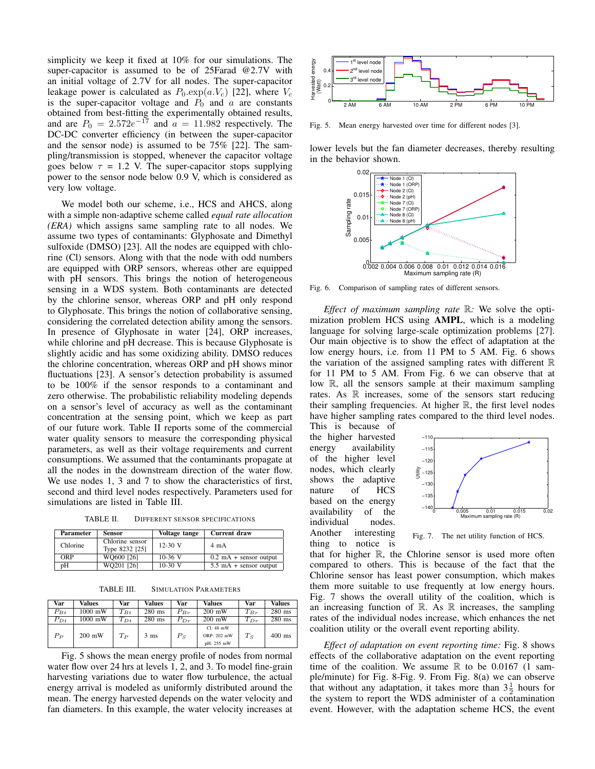simplicity we keep it fixed at 10% for our simulations. The super-capacitor is assumed to be of 25Farad @2.7V with an initial voltage of 2.7V for all nodes. The super-capacitor leakage power is calculated as  $P_0.\exp(a.V_c)$  [22], where  $V_c$ is the super-capacitor voltage and  $P_0$  and  $\alpha$  are constants obtained from best-fitting the experimentally obtained results, and are  $P_0 = 2.572e^{-17}$  and  $a = 11.982$  respectively. The DC-DC converter efficiency (in between the super-capacitor and the sensor node) is assumed to be 75% [22]. The sampling/transmission is stopped, whenever the capacitor voltage goes below  $\tau = 1.2$  V. The super-capacitor stops supplying power to the sensor node below 0.9 V, which is considered as very low voltage.

We model both our scheme, i.e., HCS and AHCS, along with a simple non-adaptive scheme called *equal rate allocation (ERA)* which assigns same sampling rate to all nodes. We assume two types of contaminants: Glyphosate and Dimethyl sulfoxide (DMSO) [23]. All the nodes are equipped with chlorine (Cl) sensors. Along with that the node with odd numbers are equipped with ORP sensors, whereas other are equipped with pH sensors. This brings the notion of heterogeneous sensing in a WDS system. Both contaminants are detected by the chlorine sensor, whereas ORP and pH only respond to Glyphosate. This brings the notion of collaborative sensing, considering the correlated detection ability among the sensors. In presence of Glyphosate in water [24], ORP increases, while chlorine and pH decrease. This is because Glyphosate is slightly acidic and has some oxidizing ability. DMSO reduces the chlorine concentration, whereas ORP and pH shows minor fluctuations [23]. A sensor's detection probability is assumed to be 100% if the sensor responds to a contaminant and zero otherwise. The probabilistic reliability modeling depends on a sensor's level of accuracy as well as the contaminant concentration at the sensing point, which we keep as part of our future work. Table II reports some of the commercial water quality sensors to measure the corresponding physical parameters, as well as their voltage requirements and current consumptions. We assumed that the contaminants propagate at all the nodes in the downstream direction of the water flow. We use nodes 1, 3 and 7 to show the characteristics of first, second and third level nodes respectively. Parameters used for simulations are listed in Table III.

TABLE II. DIFFERENT SENSOR SPECIFICATIONS

| Parameter  | <b>Sensor</b>                     | Voltage tange | Current draw                     |
|------------|-----------------------------------|---------------|----------------------------------|
| Chlorine   | Chlorine sensor<br>Type 8232 [25] | $12 - 30$ V   | 4 mA                             |
| <b>ORP</b> | WO600 [26]                        | $10-36$ V     | $0.2 \text{ mA}$ + sensor output |
| pН         | WO201 [26]                        | $10-30$ V     | $5.5 \text{ mA}$ + sensor output |

TABLE III. SIMULATION PARAMETERS

| Var      | Values    | Var      | Values         | Var      | Values                     | Var      | <b>Values</b> |
|----------|-----------|----------|----------------|----------|----------------------------|----------|---------------|
| $P_{Bt}$ | $1000$ mW | $T_{Bt}$ | $280$ ms       | $P_{Br}$ | $200$ mW                   | $T_{Br}$ | $280$ ms      |
| $P_{Dt}$ | $1000$ mW | $T_{Dt}$ | $280$ ms       | $P_{Dr}$ | $200$ mW                   | $T_{Dr}$ | $280$ ms      |
| $P_P$    | $200$ mW  | $T_{P}$  | $3 \text{ ms}$ | $P_S$    | $Cl: 48$ mW<br>ORP: 202 mW | $T_S$    | $400$ ms      |
|          |           |          |                |          | pH: 255 mW                 |          |               |

Fig. 5 shows the mean energy profile of nodes from normal water flow over 24 hrs at levels 1, 2, and 3. To model fine-grain harvesting variations due to water flow turbulence, the actual energy arrival is modeled as uniformly distributed around the mean. The energy harvested depends on the water velocity and fan diameters. In this example, the water velocity increases at



Fig. 5. Mean energy harvested over time for different nodes [3].

lower levels but the fan diameter decreases, thereby resulting in the behavior shown.



Fig. 6. Comparison of sampling rates of different sensors.

*Effect of maximum sampling rate* R*:* We solve the optimization problem HCS using AMPL, which is a modeling language for solving large-scale optimization problems [27]. Our main objective is to show the effect of adaptation at the low energy hours, i.e. from 11 PM to 5 AM. Fig. 6 shows the variation of the assigned sampling rates with different  $\mathbb R$ for 11 PM to 5 AM. From Fig. 6 we can observe that at low R, all the sensors sample at their maximum sampling rates. As  $\mathbb R$  increases, some of the sensors start reducing their sampling frequencies. At higher  $\mathbb R$ , the first level nodes have higher sampling rates compared to the third level nodes.

This is because of the higher harvested energy availability of the higher level nodes, which clearly shows the adaptive nature of HCS based on the energy availability of the individual nodes. Another interesting thing to notice is



Fig. 7. The net utility function of HCS.

that for higher R, the Chlorine sensor is used more often compared to others. This is because of the fact that the Chlorine sensor has least power consumption, which makes them more suitable to use frequently at low energy hours. Fig. 7 shows the overall utility of the coalition, which is an increasing function of  $\mathbb R$ . As  $\mathbb R$  increases, the sampling rates of the individual nodes increase, which enhances the net coalition utility or the overall event reporting ability.

*Effect of adaptation on event reporting time:* Fig. 8 shows effects of the collaborative adaptation on the event reporting time of the coalition. We assume  $\mathbb R$  to be 0.0167 (1 sample/minute) for Fig. 8-Fig. 9. From Fig. 8(a) we can observe that without any adaptation, it takes more than  $3\frac{1}{2}$  hours for the system to report the WDS administer of a contamination event. However, with the adaptation scheme HCS, the event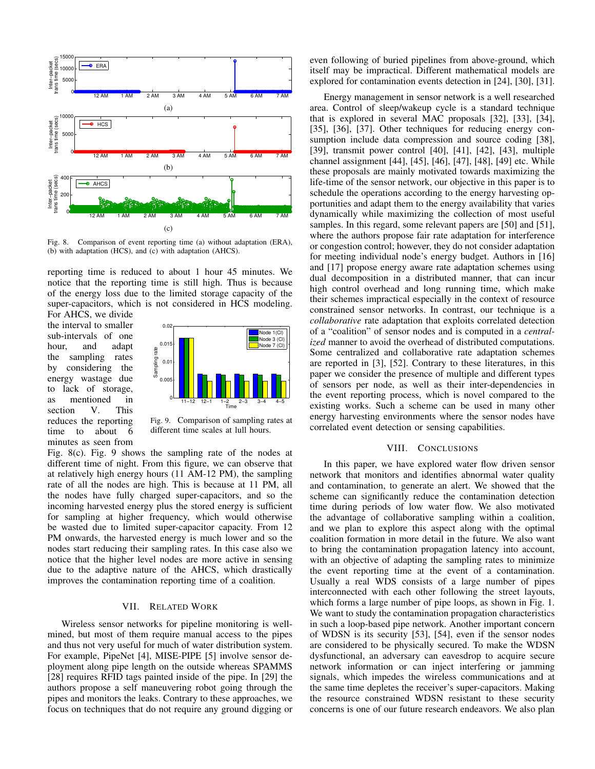

Fig. 8. Comparison of event reporting time (a) without adaptation (ERA), (b) with adaptation (HCS), and (c) with adaptation (AHCS).

reporting time is reduced to about 1 hour 45 minutes. We notice that the reporting time is still high. Thus is because of the energy loss due to the limited storage capacity of the super-capacitors, which is not considered in HCS modeling. For AHCS, we divide

the interval to smaller sub-intervals of one hour, and adapt the sampling rates by considering the energy wastage due to lack of storage, as mentioned in section V. This reduces the reporting time to about 6 minutes as seen from



Fig. 9. Comparison of sampling rates at different time scales at lull hours.

Fig. 8(c). Fig. 9 shows the sampling rate of the nodes at different time of night. From this figure, we can observe that at relatively high energy hours (11 AM-12 PM), the sampling rate of all the nodes are high. This is because at 11 PM, all the nodes have fully charged super-capacitors, and so the incoming harvested energy plus the stored energy is sufficient for sampling at higher frequency, which would otherwise be wasted due to limited super-capacitor capacity. From 12 PM onwards, the harvested energy is much lower and so the nodes start reducing their sampling rates. In this case also we notice that the higher level nodes are more active in sensing due to the adaptive nature of the AHCS, which drastically improves the contamination reporting time of a coalition.

#### VII. RELATED WORK

Wireless sensor networks for pipeline monitoring is wellmined, but most of them require manual access to the pipes and thus not very useful for much of water distribution system. For example, PipeNet [4], MISE-PIPE [5] involve sensor deployment along pipe length on the outside whereas SPAMMS [28] requires RFID tags painted inside of the pipe. In [29] the authors propose a self maneuvering robot going through the pipes and monitors the leaks. Contrary to these approaches, we focus on techniques that do not require any ground digging or

even following of buried pipelines from above-ground, which itself may be impractical. Different mathematical models are explored for contamination events detection in [24], [30], [31].

Energy management in sensor network is a well researched area. Control of sleep/wakeup cycle is a standard technique that is explored in several MAC proposals [32], [33], [34], [35], [36], [37]. Other techniques for reducing energy consumption include data compression and source coding [38], [39], transmit power control [40], [41], [42], [43], multiple channel assignment [44], [45], [46], [47], [48], [49] etc. While these proposals are mainly motivated towards maximizing the life-time of the sensor network, our objective in this paper is to schedule the operations according to the energy harvesting opportunities and adapt them to the energy availability that varies dynamically while maximizing the collection of most useful samples. In this regard, some relevant papers are [50] and [51], where the authors propose fair rate adaptation for interference or congestion control; however, they do not consider adaptation for meeting individual node's energy budget. Authors in [16] and [17] propose energy aware rate adaptation schemes using dual decomposition in a distributed manner, that can incur high control overhead and long running time, which make their schemes impractical especially in the context of resource constrained sensor networks. In contrast, our technique is a *collaborative* rate adaptation that exploits correlated detection of a "coalition" of sensor nodes and is computed in a *centralized* manner to avoid the overhead of distributed computations. Some centralized and collaborative rate adaptation schemes are reported in [3], [52]. Contrary to these literatures, in this paper we consider the presence of multiple and different types of sensors per node, as well as their inter-dependencies in the event reporting process, which is novel compared to the existing works. Such a scheme can be used in many other energy harvesting environments where the sensor nodes have correlated event detection or sensing capabilities.

#### VIII. CONCLUSIONS

In this paper, we have explored water flow driven sensor network that monitors and identifies abnormal water quality and contamination, to generate an alert. We showed that the scheme can significantly reduce the contamination detection time during periods of low water flow. We also motivated the advantage of collaborative sampling within a coalition, and we plan to explore this aspect along with the optimal coalition formation in more detail in the future. We also want to bring the contamination propagation latency into account, with an objective of adapting the sampling rates to minimize the event reporting time at the event of a contamination. Usually a real WDS consists of a large number of pipes interconnected with each other following the street layouts, which forms a large number of pipe loops, as shown in Fig. 1. We want to study the contamination propagation characteristics in such a loop-based pipe network. Another important concern of WDSN is its security [53], [54], even if the sensor nodes are considered to be physically secured. To make the WDSN dysfunctional, an adversary can eavesdrop to acquire secure network information or can inject interfering or jamming signals, which impedes the wireless communications and at the same time depletes the receiver's super-capacitors. Making the resource constrained WDSN resistant to these security concerns is one of our future research endeavors. We also plan